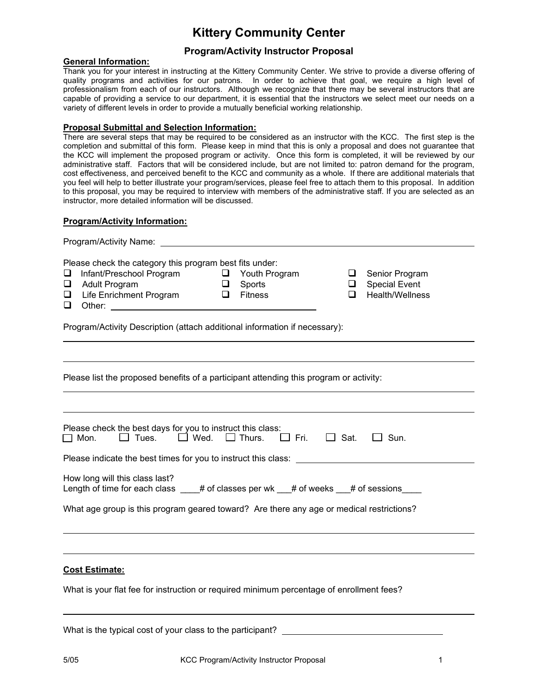# **Kittery Community Center**

## **Program/Activity Instructor Proposal**

#### **General Information:**

Thank you for your interest in instructing at the Kittery Community Center. We strive to provide a diverse offering of quality programs and activities for our patrons. In order to achieve that goal, we require a high level of professionalism from each of our instructors. Although we recognize that there may be several instructors that are capable of providing a service to our department, it is essential that the instructors we select meet our needs on a variety of different levels in order to provide a mutually beneficial working relationship.

#### **Proposal Submittal and Selection Information:**

There are several steps that may be required to be considered as an instructor with the KCC. The first step is the completion and submittal of this form. Please keep in mind that this is only a proposal and does not guarantee that the KCC will implement the proposed program or activity. Once this form is completed, it will be reviewed by our administrative staff. Factors that will be considered include, but are not limited to: patron demand for the program, cost effectiveness, and perceived benefit to the KCC and community as a whole. If there are additional materials that you feel will help to better illustrate your program/services, please feel free to attach them to this proposal. In addition to this proposal, you may be required to interview with members of the administrative staff. If you are selected as an instructor, more detailed information will be discussed.

### **Program/Activity Information:**

| <b>Program/Activity Name:</b> The Contract of the Contract of the Contract of the Contract of the Contract of the Contract of the Contract of the Contract of the Contract of the Contract of the Contract of the Contract of the C                                                                                            |
|--------------------------------------------------------------------------------------------------------------------------------------------------------------------------------------------------------------------------------------------------------------------------------------------------------------------------------|
| Please check the category this program best fits under:<br>Infant/Preschool Program<br><u>Q</u> Youth Program<br>Senior Program<br>u<br>□  <br><b>Special Event</b><br><b>Adult Program</b><br>$\Box$<br>Sports<br>$\Box$<br>$\Box$<br>Life Enrichment Program $\Box$<br>Health/Wellness<br><b>Fitness</b><br>□<br>$\Box$<br>❏ |
| Program/Activity Description (attach additional information if necessary):                                                                                                                                                                                                                                                     |
|                                                                                                                                                                                                                                                                                                                                |
| Please list the proposed benefits of a participant attending this program or activity:                                                                                                                                                                                                                                         |
|                                                                                                                                                                                                                                                                                                                                |
| Please check the best days for you to instruct this class:<br>$\square$ Tues. $\square$ Wed. $\square$ Thurs. $\square$ Fri.<br>$\Box$ Sat.<br>$\Box$ Mon.<br>$\Box$ Sun.                                                                                                                                                      |
| Please indicate the best times for you to instruct this class: __________________                                                                                                                                                                                                                                              |
| How long will this class last?<br>Length of time for each class $\qquad$ # of classes per wk $\qquad$ # of weeks $\qquad$ # of sessions                                                                                                                                                                                        |
| What age group is this program geared toward? Are there any age or medical restrictions?                                                                                                                                                                                                                                       |
|                                                                                                                                                                                                                                                                                                                                |
| <b>Cost Estimate:</b>                                                                                                                                                                                                                                                                                                          |
| What is your flat fee for instruction or required minimum percentage of enrollment fees?                                                                                                                                                                                                                                       |

What is the typical cost of your class to the participant?